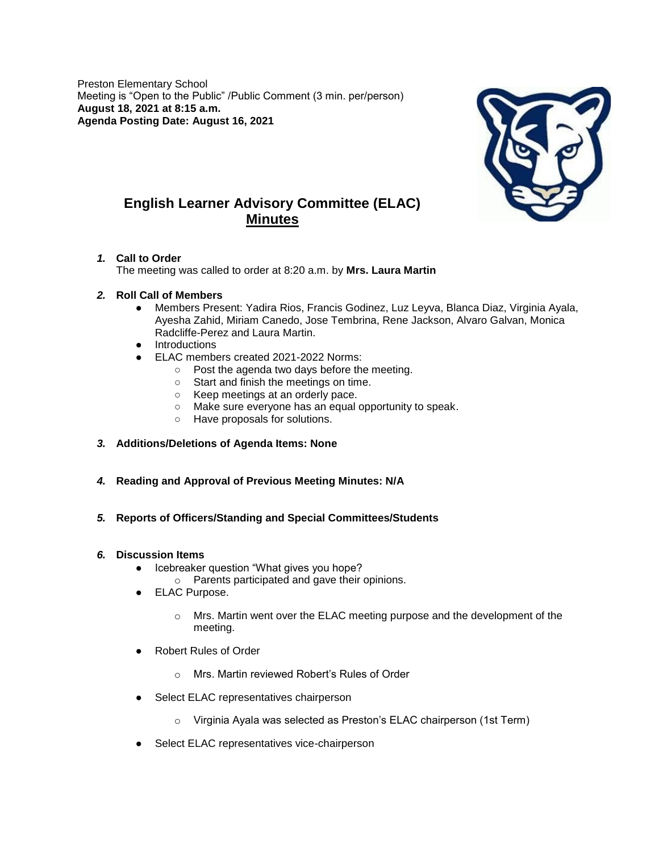Preston Elementary School Meeting is "Open to the Public" /Public Comment (3 min. per/person) **August 18, 2021 at 8:15 a.m. Agenda Posting Date: August 16, 2021**



# **English Learner Advisory Committee (ELAC) Minutes**

# *1.* **Call to Order**

The meeting was called to order at 8:20 a.m. by **Mrs. Laura Martin**

# *2.* **Roll Call of Members**

- Members Present: Yadira Rios, Francis Godinez, Luz Leyva, Blanca Diaz, Virginia Ayala, Ayesha Zahid, Miriam Canedo, Jose Tembrina, Rene Jackson, Alvaro Galvan, Monica Radcliffe-Perez and Laura Martin.
- Introductions
- ELAC members created 2021-2022 Norms:
	- Post the agenda two days before the meeting.
	- Start and finish the meetings on time.
	- Keep meetings at an orderly pace.
	- Make sure everyone has an equal opportunity to speak.
	- Have proposals for solutions.

# *3.* **Additions/Deletions of Agenda Items: None**

- *4.* **Reading and Approval of Previous Meeting Minutes: N/A**
- *5.* **Reports of Officers/Standing and Special Committees/Students**

# *6.* **Discussion Items**

- Icebreaker question "What gives you hope?
	- o Parents participated and gave their opinions.
- ELAC Purpose.
	- o Mrs. Martin went over the ELAC meeting purpose and the development of the meeting.
- **Robert Rules of Order** 
	- o Mrs. Martin reviewed Robert's Rules of Order
- Select ELAC representatives chairperson
	- o Virginia Ayala was selected as Preston's ELAC chairperson (1st Term)
- Select ELAC representatives vice-chairperson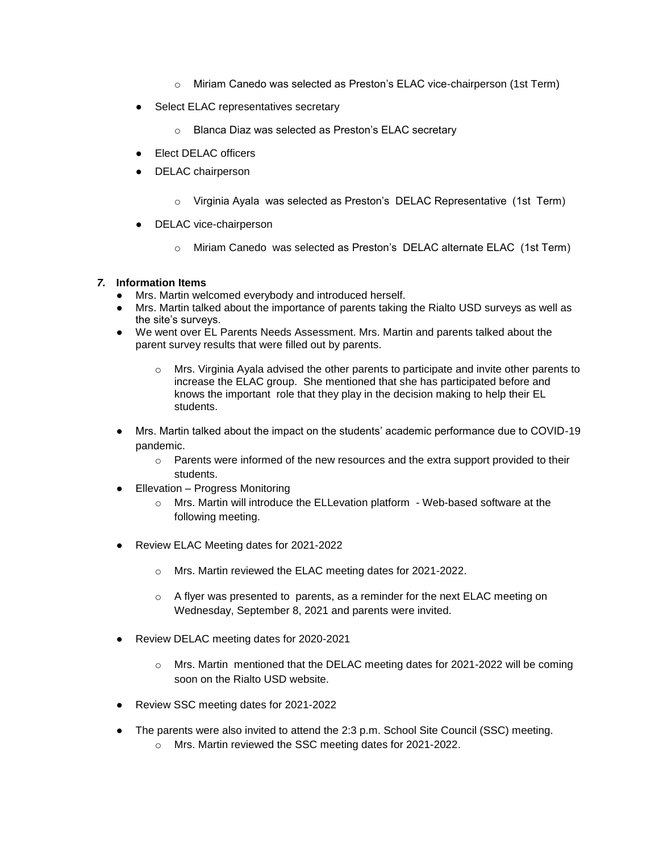- o Miriam Canedo was selected as Preston's ELAC vice-chairperson (1st Term)
- Select ELAC representatives secretary
	- o Blanca Diaz was selected as Preston's ELAC secretary
- **Elect DELAC officers**
- DELAC chairperson
	- o Virginia Ayala was selected as Preston's DELAC Representative (1st Term)
- DELAC vice-chairperson
	- o Miriam Canedo was selected as Preston's DELAC alternate ELAC (1st Term)

# *7.* **Information Items**

- Mrs. Martin welcomed everybody and introduced herself.
- Mrs. Martin talked about the importance of parents taking the Rialto USD surveys as well as the site's surveys.
- We went over EL Parents Needs Assessment. Mrs. Martin and parents talked about the parent survey results that were filled out by parents.
	- $\circ$  Mrs. Virginia Ayala advised the other parents to participate and invite other parents to increase the ELAC group. She mentioned that she has participated before and knows the important role that they play in the decision making to help their EL students.
- Mrs. Martin talked about the impact on the students' academic performance due to COVID-19 pandemic.
	- $\circ$  Parents were informed of the new resources and the extra support provided to their students.
- Ellevation Progress Monitoring
	- $\circ$  Mrs. Martin will introduce the ELLevation platform  $\overline{\phantom{a}}$  Web-based software at the following meeting.
- Review ELAC Meeting dates for 2021-2022
	- o Mrs. Martin reviewed the ELAC meeting dates for 2021-2022.
	- $\circ$  A flyer was presented to parents, as a reminder for the next ELAC meeting on Wednesday, September 8, 2021 and parents were invited.
- Review DELAC meeting dates for 2020-2021
	- $\circ$  Mrs. Martin mentioned that the DELAC meeting dates for 2021-2022 will be coming soon on the Rialto USD website.
- Review SSC meeting dates for 2021-2022
- The parents were also invited to attend the 2:3 p.m. School Site Council (SSC) meeting.
	- o Mrs. Martin reviewed the SSC meeting dates for 2021-2022.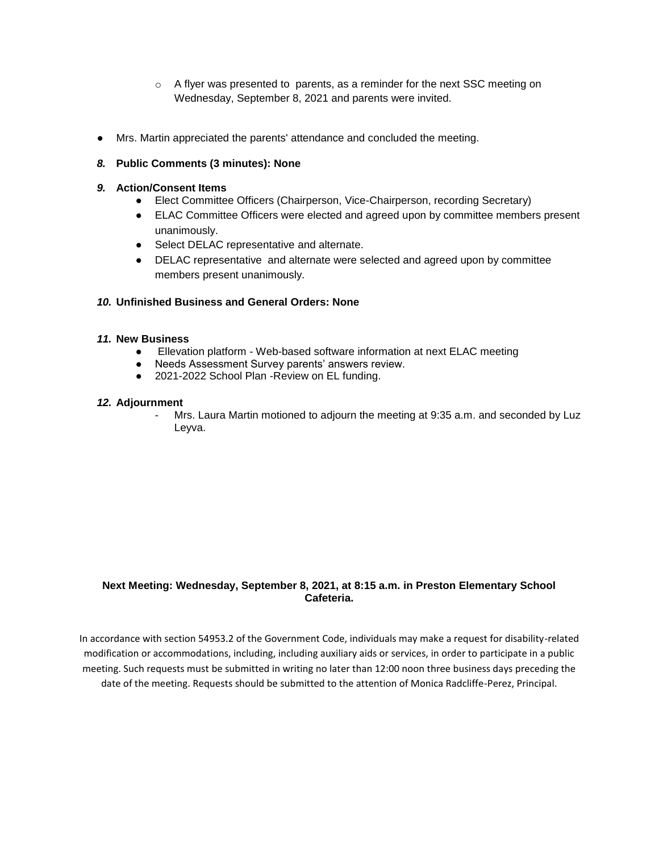- o A flyer was presented to parents, as a reminder for the next SSC meeting on Wednesday, September 8, 2021 and parents were invited.
- Mrs. Martin appreciated the parents' attendance and concluded the meeting.

#### *8.* **Public Comments (3 minutes): None**

#### *9.* **Action/Consent Items**

- Elect Committee Officers (Chairperson, Vice-Chairperson, recording Secretary)
- ELAC Committee Officers were elected and agreed upon by committee members present unanimously.
- Select DELAC representative and alternate.
- DELAC representative and alternate were selected and agreed upon by committee members present unanimously.

#### *10.* **Unfinished Business and General Orders: None**

#### *11.* **New Business**

- Ellevation platform Web-based software information at next ELAC meeting
- Needs Assessment Survey parents' answers review.
- 2021-2022 School Plan -Review on EL funding.

#### *12.* **Adjournment**

Mrs. Laura Martin motioned to adjourn the meeting at 9:35 a.m. and seconded by Luz Leyva.

#### **Next Meeting: Wednesday, September 8, 2021, at 8:15 a.m. in Preston Elementary School Cafeteria.**

In accordance with section 54953.2 of the Government Code, individuals may make a request for disability-related modification or accommodations, including, including auxiliary aids or services, in order to participate in a public meeting. Such requests must be submitted in writing no later than 12:00 noon three business days preceding the date of the meeting. Requests should be submitted to the attention of Monica Radcliffe-Perez, Principal.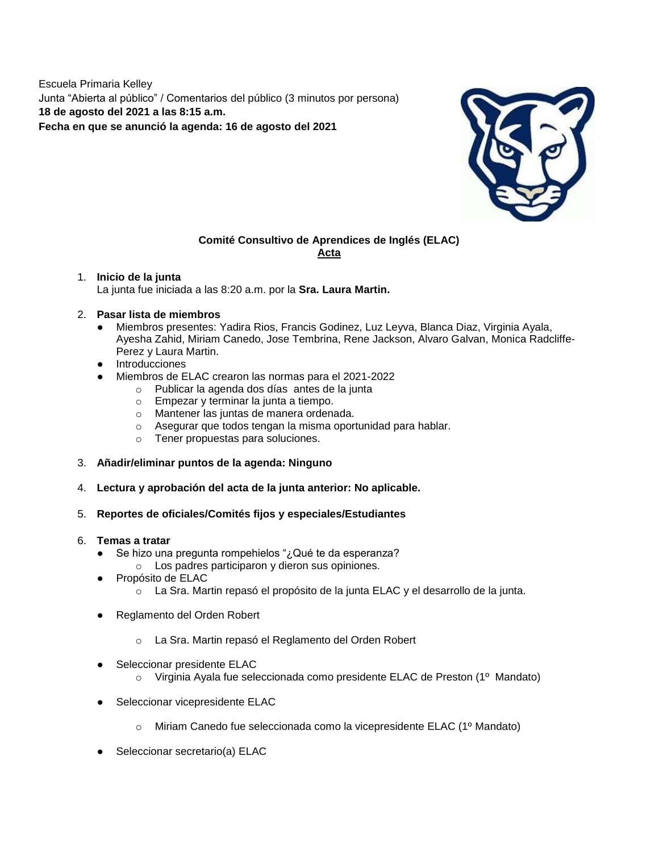Escuela Primaria Kelley Junta "Abierta al público" / Comentarios del público (3 minutos por persona) **18 de agosto del 2021 a las 8:15 a.m. Fecha en que se anunció la agenda: 16 de agosto del 2021**



# **Comité Consultivo de Aprendices de Inglés (ELAC) Acta**

- 1. **Inicio de la junta** La junta fue iniciada a las 8:20 a.m. por la **Sra. Laura Martin.**
- 2. **Pasar lista de miembros**
	- **●** Miembros presentes: Yadira Rios, Francis Godinez, Luz Leyva, Blanca Diaz, Virginia Ayala, Ayesha Zahid, Miriam Canedo, Jose Tembrina, Rene Jackson, Alvaro Galvan, Monica Radcliffe-Perez y Laura Martin.
	- **●** Introducciones
	- **●** Miembros de ELAC crearon las normas para el 2021-2022
		- o Publicar la agenda dos días antes de la junta
		- o Empezar y terminar la junta a tiempo.
		- o Mantener las juntas de manera ordenada.
		- o Asegurar que todos tengan la misma oportunidad para hablar.
		- o Tener propuestas para soluciones.
- 3. **Añadir/eliminar puntos de la agenda: Ninguno**
- 4. **Lectura y aprobación del acta de la junta anterior: No aplicable.**
- 5. **Reportes de oficiales/Comités fijos y especiales/Estudiantes**

# 6. **Temas a tratar**

- **●** Se hizo una pregunta rompehielos "¿Qué te da esperanza?
	- o Los padres participaron y dieron sus opiniones.
- **●** Propósito de ELAC
	- o La Sra. Martin repasó el propósito de la junta ELAC y el desarrollo de la junta.
- **●** Reglamento del Orden Robert
	- o La Sra. Martin repasó el Reglamento del Orden Robert
- **Seleccionar presidente ELAC** 
	- $\circ$  Virginia Ayala fue seleccionada como presidente ELAC de Preston (1º Mandato)
- **Seleccionar vicepresidente ELAC** 
	- o Miriam Canedo fue seleccionada como la vicepresidente ELAC (1º Mandato)
- **Seleccionar secretario(a) ELAC**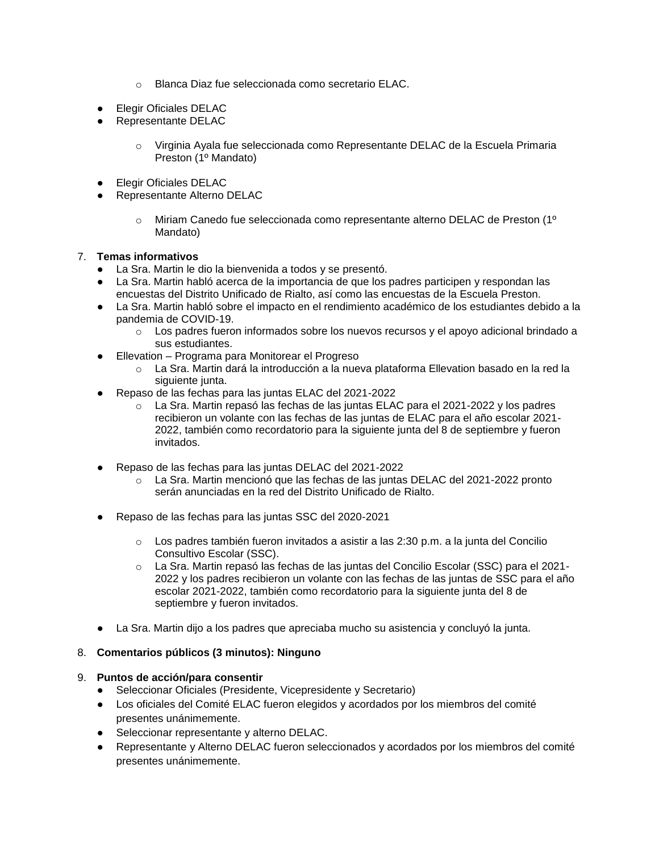- o Blanca Diaz fue seleccionada como secretario ELAC.
- **●** Elegir Oficiales DELAC
- **●** Representante DELAC
	- o Virginia Ayala fue seleccionada como Representante DELAC de la Escuela Primaria Preston (1º Mandato)
- **●** Elegir Oficiales DELAC
- **Representante Alterno DELAC** 
	- $\circ$  Miriam Canedo fue seleccionada como representante alterno DELAC de Preston (1<sup>o</sup> Mandato)

#### 7. **Temas informativos**

- **●** La Sra. Martin le dio la bienvenida a todos y se presentó.
- **●** La Sra. Martin habló acerca de la importancia de que los padres participen y respondan las encuestas del Distrito Unificado de Rialto, así como las encuestas de la Escuela Preston.
- **●** La Sra. Martin habló sobre el impacto en el rendimiento académico de los estudiantes debido a la pandemia de COVID-19.
	- o Los padres fueron informados sobre los nuevos recursos y el apoyo adicional brindado a sus estudiantes.
- **●** Ellevation Programa para Monitorear el Progreso
	- o La Sra. Martin dará la introducción a la nueva plataforma Ellevation basado en la red la siguiente junta.
- **●** Repaso de las fechas para las juntas ELAC del 2021-2022
	- o La Sra. Martin repasó las fechas de las juntas ELAC para el 2021-2022 y los padres recibieron un volante con las fechas de las juntas de ELAC para el año escolar 2021- 2022, también como recordatorio para la siguiente junta del 8 de septiembre y fueron invitados.
- Repaso de las fechas para las juntas DELAC del 2021-2022
	- o La Sra. Martin mencionó que las fechas de las juntas DELAC del 2021-2022 pronto serán anunciadas en la red del Distrito Unificado de Rialto.
- **●** Repaso de las fechas para las juntas SSC del 2020-2021
	- $\circ$  Los padres también fueron invitados a asistir a las 2:30 p.m. a la junta del Concilio Consultivo Escolar (SSC).
	- o La Sra. Martin repasó las fechas de las juntas del Concilio Escolar (SSC) para el 2021- 2022 y los padres recibieron un volante con las fechas de las juntas de SSC para el año escolar 2021-2022, también como recordatorio para la siguiente junta del 8 de septiembre y fueron invitados.
- La Sra. Martin dijo a los padres que apreciaba mucho su asistencia y concluyó la junta.

# 8. **Comentarios públicos (3 minutos): Ninguno**

#### 9. **Puntos de acción/para consentir**

- **●** Seleccionar Oficiales (Presidente, Vicepresidente y Secretario)
- **●** Los oficiales del Comité ELAC fueron elegidos y acordados por los miembros del comité presentes unánimemente.
- **●** Seleccionar representante y alterno DELAC.
- Representante y Alterno DELAC fueron seleccionados y acordados por los miembros del comité presentes unánimemente.